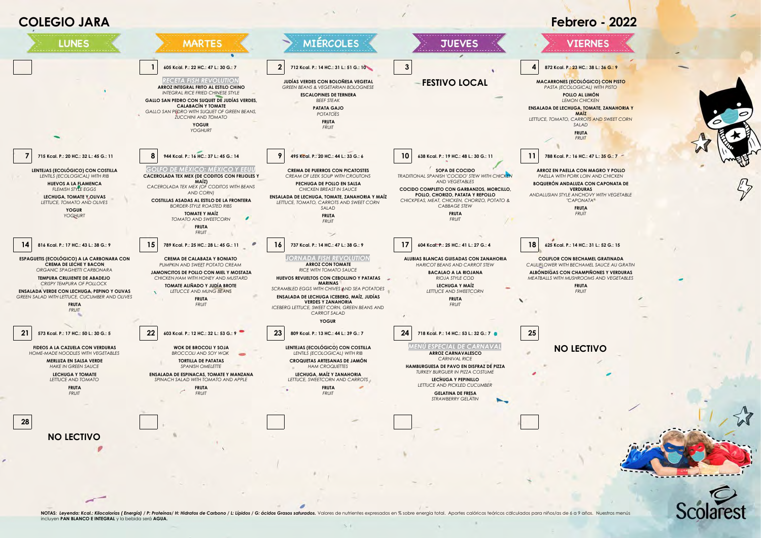

NOTAS: Levenda: Kcal.: Kilocalorías ( Energía) / P: Proteínas / H: Hidratos de Carbono / L: Lípidos / G: ácidos Grasos saturados. Volores de nutrientes expresados en % sobre energía total. Aportes calóricos teóricos calcul incluyen **PAN BLANCO E INTEGRAL** y la bebida será **AGUA.**